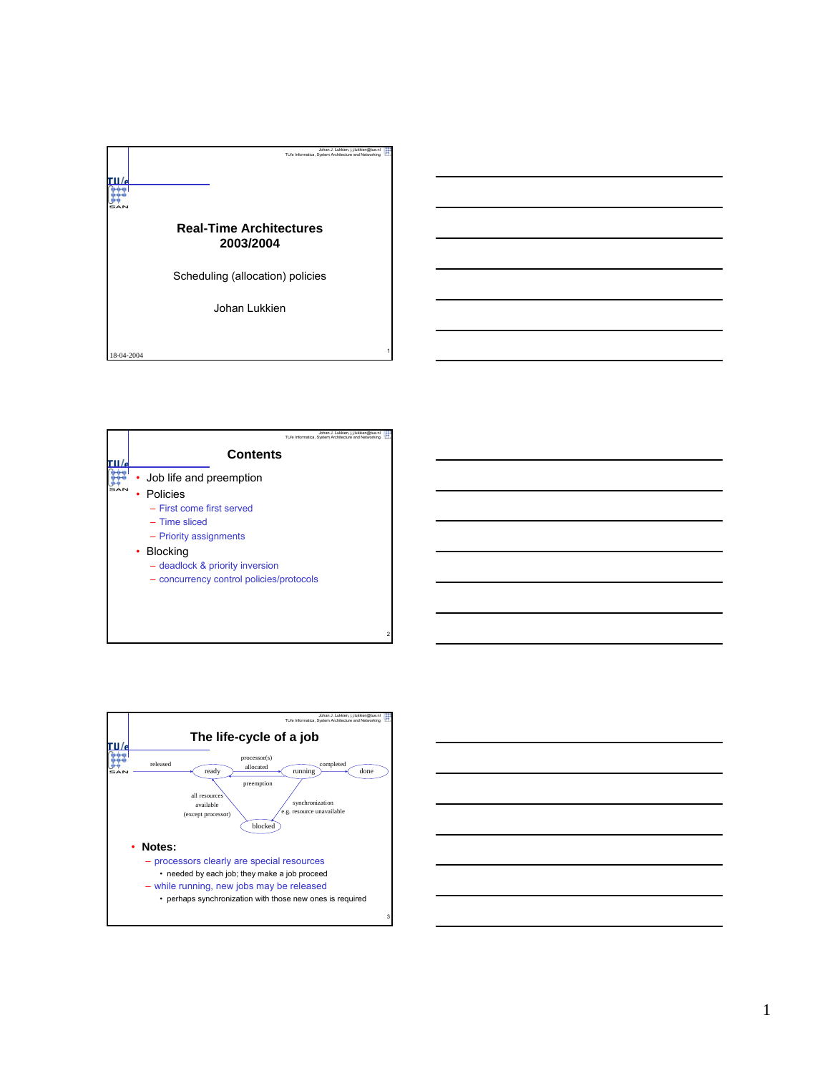





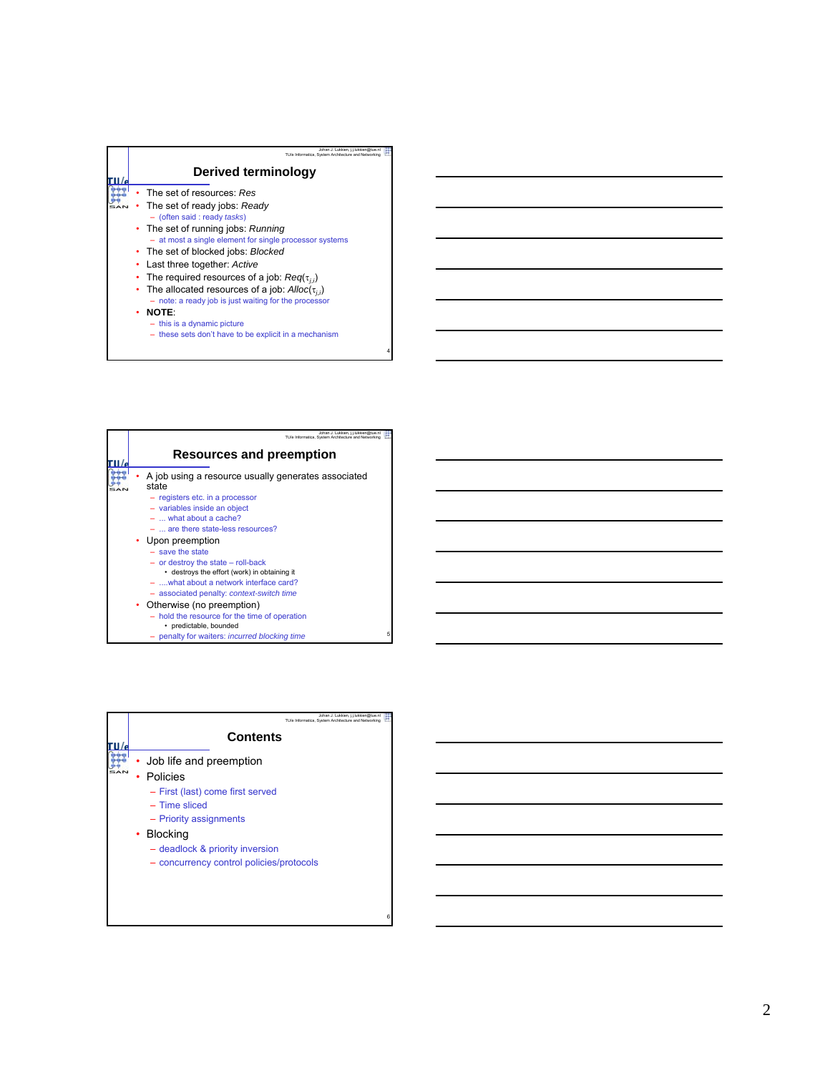

5

|  | Johan J. Lukkien, i.i.lukkien@tue.nl<br>TU/e Informatica. System Architecture and Networking |
|--|----------------------------------------------------------------------------------------------|
|  | Resources and preemption                                                                     |
|  | A job using a resource usually generates associated<br>state                                 |
|  | - registers etc. in a processor                                                              |
|  | - variables inside an object                                                                 |
|  | $-$ what about a cache?                                                                      |
|  | $-$ are there state-less resources?                                                          |
|  | • Upon preemption                                                                            |
|  | $-$ save the state                                                                           |
|  | $-$ or destroy the state $-$ roll-back                                                       |
|  | • destroys the effort (work) in obtaining it                                                 |
|  | - , what about a network interface card?                                                     |
|  | - associated penalty: context-switch time                                                    |
|  | • Otherwise (no preemption)                                                                  |
|  | - hold the resource for the time of operation<br>• predictable, bounded                      |
|  | penalty for waiters: <i>incurred blocking time</i>                                           |

| <b>Contents</b><br>Job life and preemption<br>Policies |
|--------------------------------------------------------|
|                                                        |
|                                                        |
|                                                        |
| - First (last) come first served                       |
| $-$ Time sliced                                        |
| - Priority assignments                                 |
| • Blocking                                             |
| - deadlock & priority inversion                        |
| - concurrency control policies/protocols               |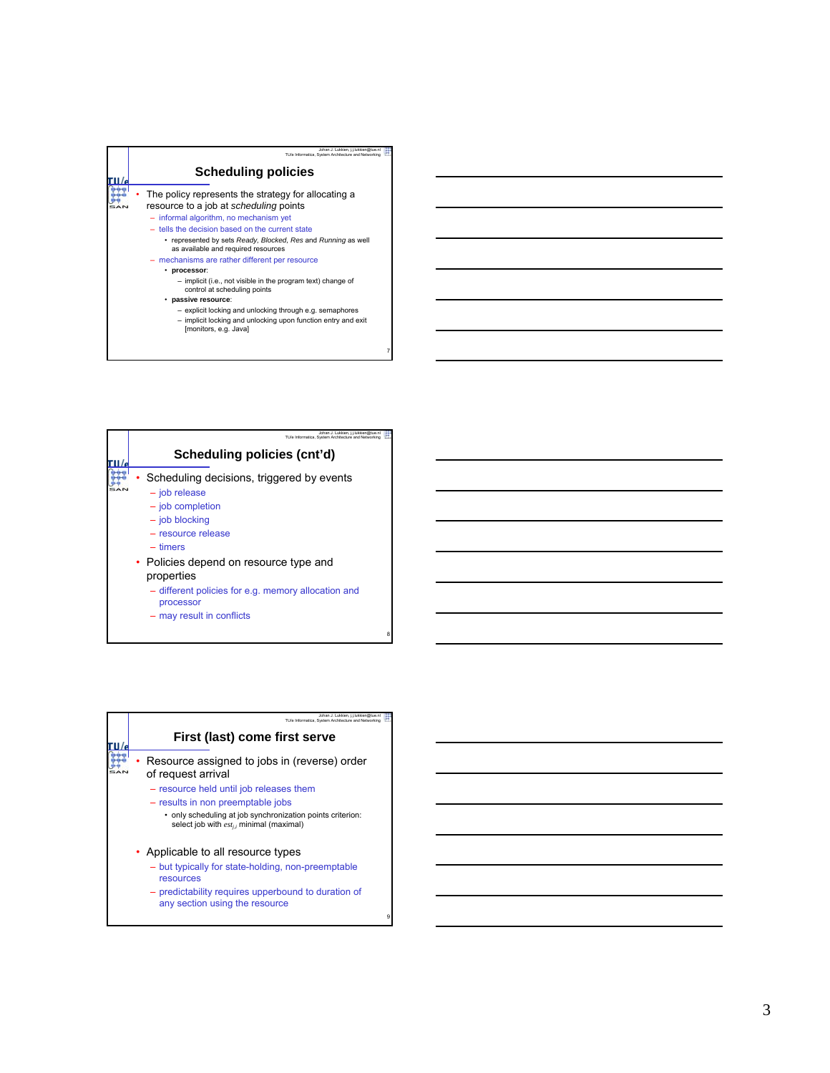| <b>Scheduling policies</b>                                                                                                                                                                                                                                                                         |
|----------------------------------------------------------------------------------------------------------------------------------------------------------------------------------------------------------------------------------------------------------------------------------------------------|
| The policy represents the strategy for allocating a<br>resource to a job at scheduling points<br>- informal algorithm, no mechanism yet<br>- tells the decision based on the current state<br>• represented by sets Ready, Blocked, Res and Running as well<br>as available and required resources |
| - mechanisms are rather different per resource<br>processor:<br>- implicit (i.e., not visible in the program text) change of<br>control at scheduling points                                                                                                                                       |
| · passive resource:<br>- explicit locking and unlocking through e.g. semaphores<br>- implicit locking and unlocking upon function entry and exit<br>[monitors, e.g. Java]                                                                                                                          |



| Johan J. Lukkien, j.j.lukkien@tue.nl<br>TU/e Informatica. System Architecture and Networking          |
|-------------------------------------------------------------------------------------------------------|
| First (last) come first serve                                                                         |
| Resource assigned to jobs in (reverse) order<br>of request arrival                                    |
| - resource held until job releases them                                                               |
| - results in non preemptable jobs                                                                     |
| • only scheduling at job synchronization points criterion:<br>select job with esti, minimal (maximal) |
| • Applicable to all resource types                                                                    |
| - but typically for state-holding, non-preemptable<br>resources                                       |
| - predictability requires upperbound to duration of<br>any section using the resource                 |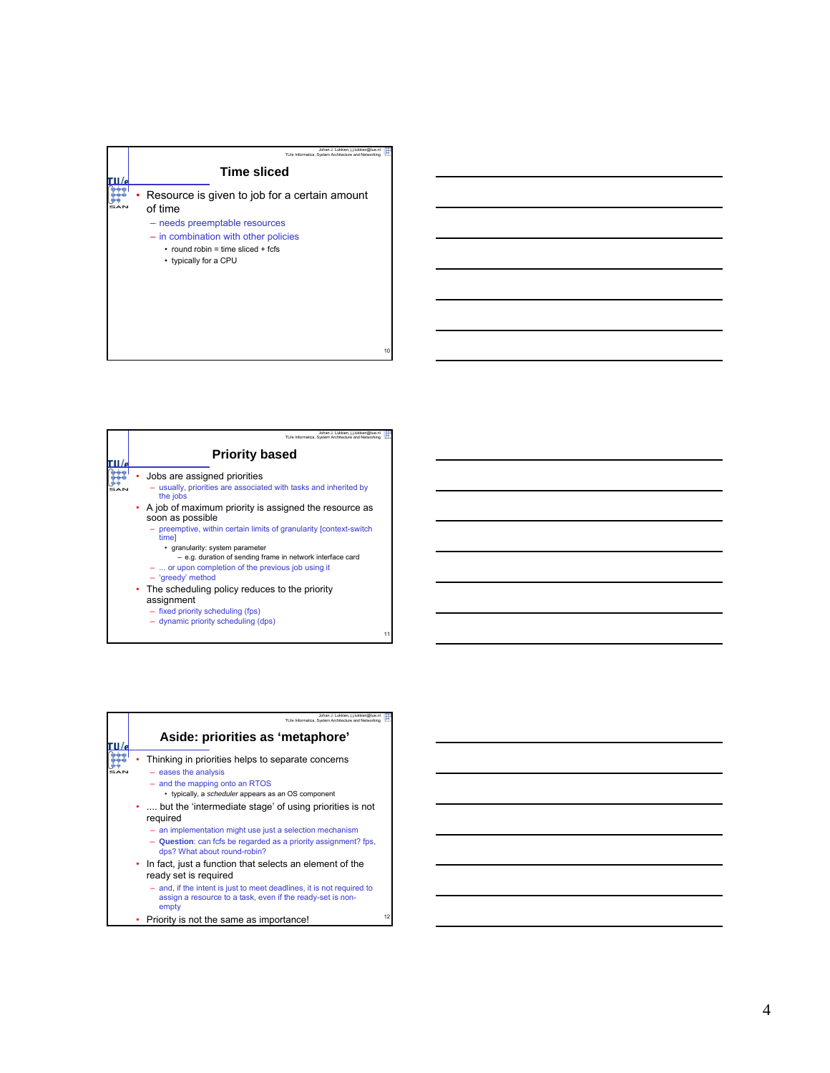

| Johan J. Lukkien, i.i.lukkien@tue.nl<br>TU/e Informatica. System Architecture and Networking                                                                                                                                                              |  |
|-----------------------------------------------------------------------------------------------------------------------------------------------------------------------------------------------------------------------------------------------------------|--|
| <b>Priority based</b>                                                                                                                                                                                                                                     |  |
| Jobs are assigned priorities<br>- usually, priorities are associated with tasks and inherited by<br>the jobs                                                                                                                                              |  |
| • A job of maximum priority is assigned the resource as<br>soon as possible                                                                                                                                                                               |  |
| - preemptive, within certain limits of granularity [context-switch]<br>timel<br>• granularity: system parameter<br>- e.g. duration of sending frame in network interface card<br>$-$ or upon completion of the previous job using it<br>- 'greedy' method |  |
| • The scheduling policy reduces to the priority<br>assignment<br>- fixed priority scheduling (fps)<br>- dynamic priority scheduling (dps)                                                                                                                 |  |

|  | Johan J. Lukkien. i.i.lukkien@tue.nl<br>TU/e Informatica. System Architecture and Networking                                                                                                                                                                                                                                                                                                                  |    |
|--|---------------------------------------------------------------------------------------------------------------------------------------------------------------------------------------------------------------------------------------------------------------------------------------------------------------------------------------------------------------------------------------------------------------|----|
|  | Aside: priorities as 'metaphore'                                                                                                                                                                                                                                                                                                                                                                              |    |
|  | Thinking in priorities helps to separate concerns<br>$-$ eases the analysis<br>- and the mapping onto an RTOS<br>• typically, a scheduler appears as an OS component<br>.  but the 'intermediate stage' of using priorities is not<br>required<br>- an implementation might use just a selection mechanism<br>- Question: can fcfs be regarded as a priority assignment? fps.<br>dps? What about round-robin? |    |
|  | • In fact, just a function that selects an element of the<br>ready set is required<br>- and, if the intent is just to meet deadlines, it is not required to<br>assign a resource to a task, even if the ready-set is non-<br>empty                                                                                                                                                                            |    |
|  | Priority is not the same as importance!                                                                                                                                                                                                                                                                                                                                                                       | 12 |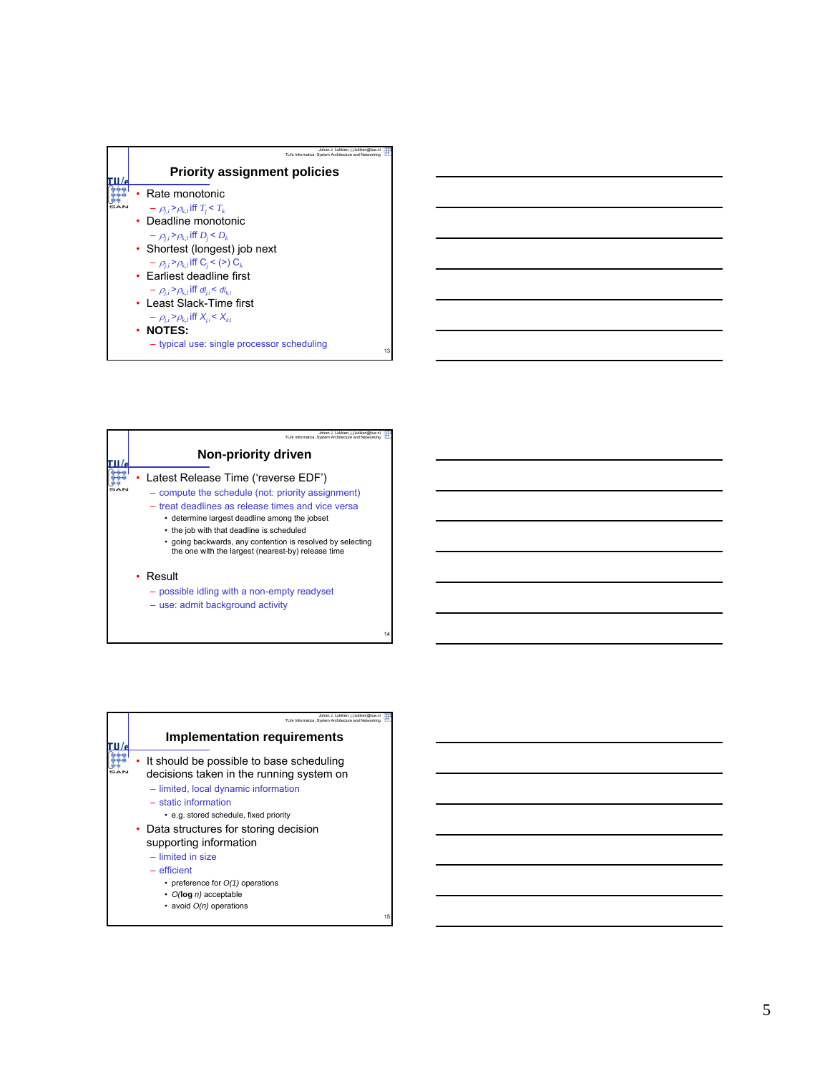| Johan J. Lukkien, j.j.lukkien@tue.nl<br>TU/e Informatica. System Architecture and Networking                                                                                                                                                                                                                                                                                                                                                                                                  |
|-----------------------------------------------------------------------------------------------------------------------------------------------------------------------------------------------------------------------------------------------------------------------------------------------------------------------------------------------------------------------------------------------------------------------------------------------------------------------------------------------|
| <b>Priority assignment policies</b>                                                                                                                                                                                                                                                                                                                                                                                                                                                           |
| Rate monotonic<br>$-\rho_{ii} > \rho_{k,l}$ iff $T_i < T_k$<br>• Deadline monotonic<br>$-\rho_{ii} > \rho_{k,l}$ iff $D_i < D_k$<br>• Shortest (longest) job next<br>$-\rho_{ii} > \rho_{k1}$ iff C <sub>i</sub> < (>) C <sub>k</sub><br>• Farliest deadline first<br>$-\rho_{ii} > \rho_{k,l}$ iff dl <sub>ij</sub> < dl <sub>kl</sub><br>• Least Slack-Time first<br>$-\rho_{ii} > \rho_{k,l}$ iff $X_{ii} < X_{k,l}$<br>$\cdot$ NOTES:<br>- typical use: single processor scheduling<br>13 |

| Johan J. Lukkien, i.i.lukkien@tue.n<br>TU/e Informatica. System Architecture and Networking                                                                                                                                                                                                                                                                     |
|-----------------------------------------------------------------------------------------------------------------------------------------------------------------------------------------------------------------------------------------------------------------------------------------------------------------------------------------------------------------|
| Non-priority driven                                                                                                                                                                                                                                                                                                                                             |
| Latest Release Time ('reverse EDF')<br>- compute the schedule (not: priority assignment)<br>- treat deadlines as release times and vice versa<br>• determine largest deadline among the jobset<br>• the job with that deadline is scheduled<br>• going backwards, any contention is resolved by selecting<br>the one with the largest (nearest-by) release time |
| • Result<br>- possible idling with a non-empty readyset<br>- use: admit background activity                                                                                                                                                                                                                                                                     |

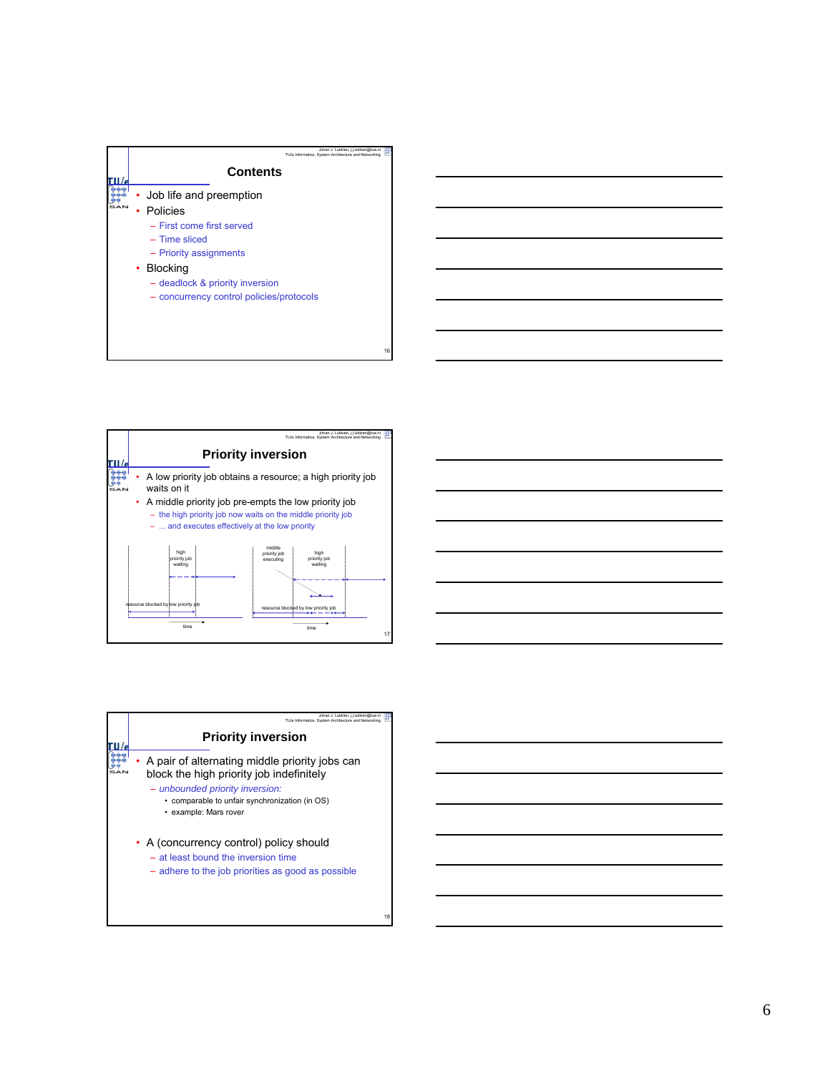





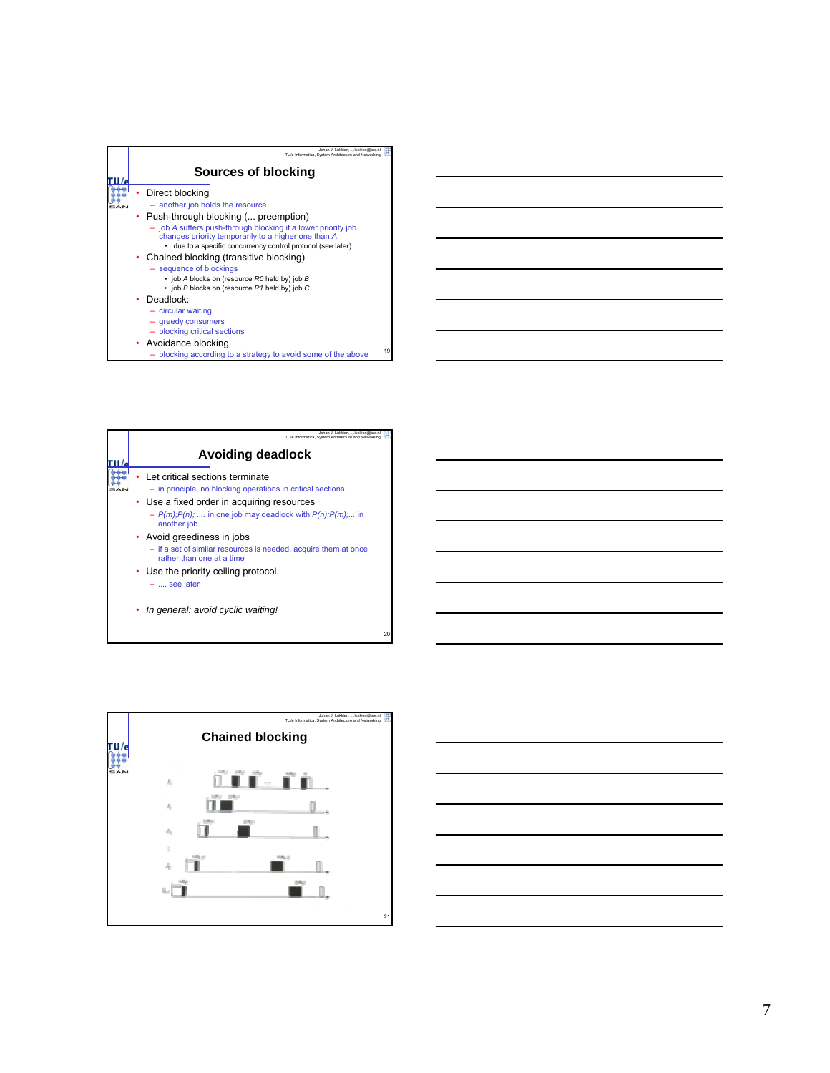| Johan J. Lukkien, i.i.lukkien@tue.nl<br>TU/e Informatica. System Architecture and Networking                         |    |
|----------------------------------------------------------------------------------------------------------------------|----|
| Sources of blocking                                                                                                  |    |
| Direct blocking                                                                                                      |    |
| - another job holds the resource                                                                                     |    |
| • Push-through blocking ( preemption)                                                                                |    |
| - job A suffers push-through blocking if a lower priority job<br>changes priority temporarily to a higher one than A |    |
| due to a specific concurrency control protocol (see later)<br>٠                                                      |    |
| • Chained blocking (transitive blocking)                                                                             |    |
| - sequence of blockings                                                                                              |    |
| • job A blocks on (resource R0 held by) job B                                                                        |    |
| $\cdot$ job B blocks on (resource R1 held by) job C                                                                  |    |
| Deadlock:                                                                                                            |    |
| $-$ circular waiting                                                                                                 |    |
| - greedy consumers                                                                                                   |    |
| - blocking critical sections                                                                                         |    |
| • Avoidance blocking                                                                                                 |    |
| blocking according to a strategy to avoid some of the above                                                          | 19 |

| Johan J. Lukkien. i Llukkien@tue.n<br>TU/e Informatica. System Architecture and Networking                                                                                                                                                   |
|----------------------------------------------------------------------------------------------------------------------------------------------------------------------------------------------------------------------------------------------|
| <b>Avoiding deadlock</b>                                                                                                                                                                                                                     |
| Let critical sections terminate<br>- in principle, no blocking operations in critical sections<br>• Use a fixed order in acquiring resources<br>$- P(m)$ ; $P(n)$ ;  in one job may deadlock with $P(n)$ ; $P(m)$ ; in<br>another <i>iob</i> |
| • Avoid greediness in jobs<br>- if a set of similar resources is needed, acquire them at once<br>rather than one at a time<br>Use the priority ceiling protocol<br>$-$ , see later                                                           |
| In general: avoid cyclic waiting!                                                                                                                                                                                                            |



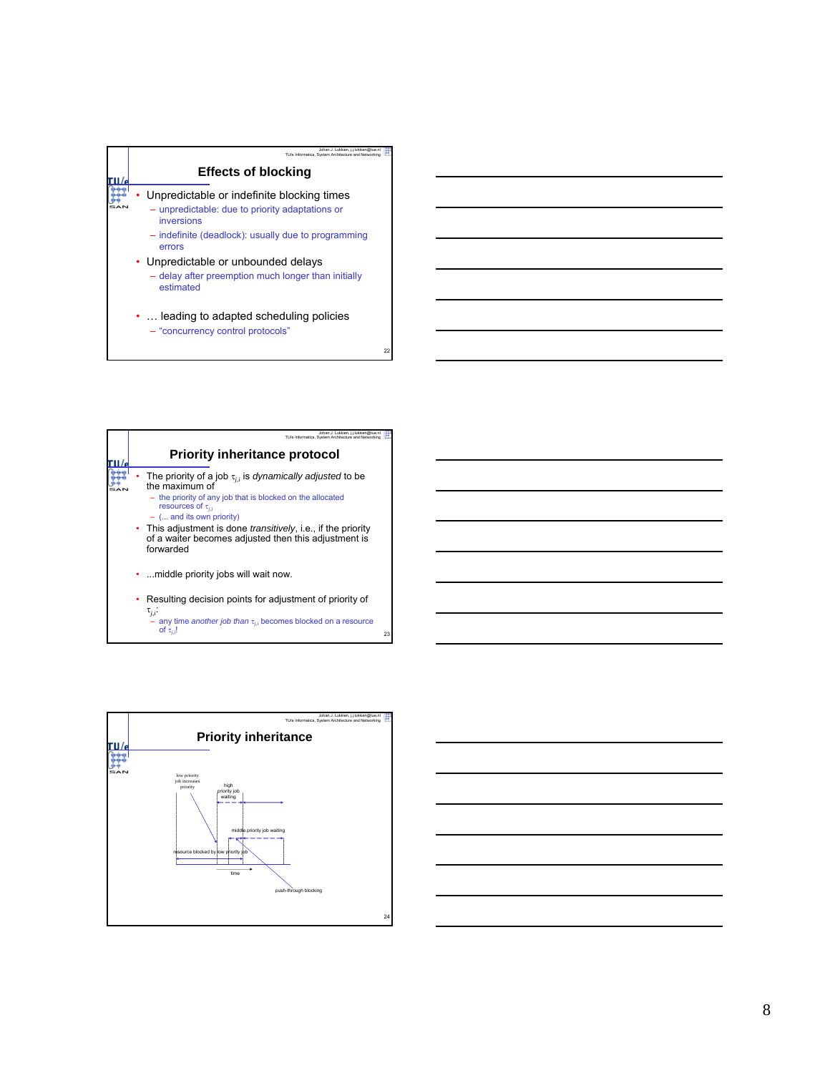

| Johan J. Lukkien, j.j.lukkien@tue.n<br>TU/e Informatica. System Architecture and Netwo                                                                                                                                                                                              |
|-------------------------------------------------------------------------------------------------------------------------------------------------------------------------------------------------------------------------------------------------------------------------------------|
| <b>Priority inheritance protocol</b>                                                                                                                                                                                                                                                |
| The priority of a job $\tau_{ij}$ is dynamically adjusted to be<br>the maximum of<br>- the priority of any job that is blocked on the allocated<br>resources of $\tau_{ij}$<br>$-$ ( and its own priority)<br>• This adjustment is done <i>transitively</i> , i.e., if the priority |
| of a waiter becomes adjusted then this adjustment is<br>forwarded<br>.  middle priority jobs will wait now.                                                                                                                                                                         |
| Resulting decision points for adjustment of priority of<br>$\tau_{i,i}$ :<br>- any time another job than $\tau_{i,i}$ becomes blocked on a resource<br>of $\tau_{i,i}$ !                                                                                                            |



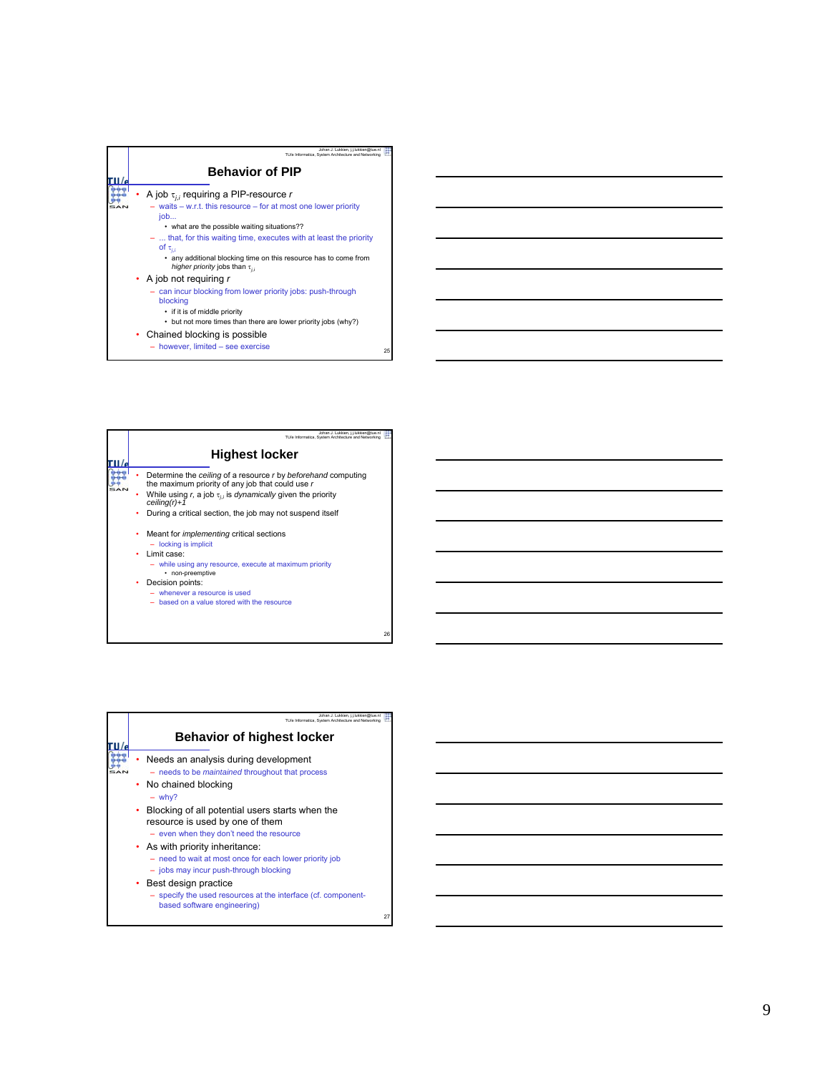| Johan J. Lukkien, j.j.lukkien@tue.n<br>TU/e Informatica. System Architecture and Networking                                                                                                                                                                                                                                                                                          |    |
|--------------------------------------------------------------------------------------------------------------------------------------------------------------------------------------------------------------------------------------------------------------------------------------------------------------------------------------------------------------------------------------|----|
| <b>Behavior of PIP</b>                                                                                                                                                                                                                                                                                                                                                               |    |
| A job $\tau_{ii}$ requiring a PIP-resource r<br>$-$ waits $-$ w.r.t. this resource $-$ for at most one lower priority<br>job<br>• what are the possible waiting situations??<br>$-$ that, for this waiting time, executes with at least the priority<br>of $\tau_{i,i}$<br>• any additional blocking time on this resource has to come from<br>higher priority jobs than $\tau_{ij}$ |    |
| • A job not requiring $r$<br>- can incur blocking from lower priority jobs: push-through<br>blocking<br>• if it is of middle priority<br>• but not more times than there are lower priority jobs (why?)<br>• Chained blocking is possible<br>- however, limited - see exercise                                                                                                       | 25 |

| Johan J. Lukkien, j.j.lukkien@tue.nl                                                                              |
|-------------------------------------------------------------------------------------------------------------------|
| TU/e Informatica. System Architecture and Networking                                                              |
| <b>Highest locker</b>                                                                                             |
| Determine the ceiling of a resource r by beforehand computing<br>the maximum priority of any job that could use r |
| While using r, a job $\tau_{ij}$ is <i>dynamically</i> given the priority<br>$ceiling(r)+1$                       |
| During a critical section, the job may not suspend itself                                                         |
| Meant for <i>implementing</i> critical sections<br>٠                                                              |
| $-$ locking is implicit                                                                                           |
| Limit case:<br>٠                                                                                                  |
| - while using any resource, execute at maximum priority<br>• non-preemptive                                       |
| Decision points:                                                                                                  |
| $-$ whenever a resource is used                                                                                   |
| - based on a value stored with the resource                                                                       |
|                                                                                                                   |
|                                                                                                                   |

| Johan J. Lukkien, i.i.lukkien@tue.nl<br>TU/e Informatica. System Architecture and Networking                                         |    |
|--------------------------------------------------------------------------------------------------------------------------------------|----|
| <b>Behavior of highest locker</b>                                                                                                    |    |
| Needs an analysis during development<br>- needs to be <i>maintained</i> throughout that process<br>• No chained blocking<br>$-$ why? |    |
| Blocking of all potential users starts when the<br>٠<br>resource is used by one of them<br>- even when they don't need the resource  |    |
| • As with priority inheritance:<br>- need to wait at most once for each lower priority job<br>- jobs may incur push-through blocking |    |
| • Best design practice<br>- specify the used resources at the interface (cf. component-<br>based software engineering)               | 27 |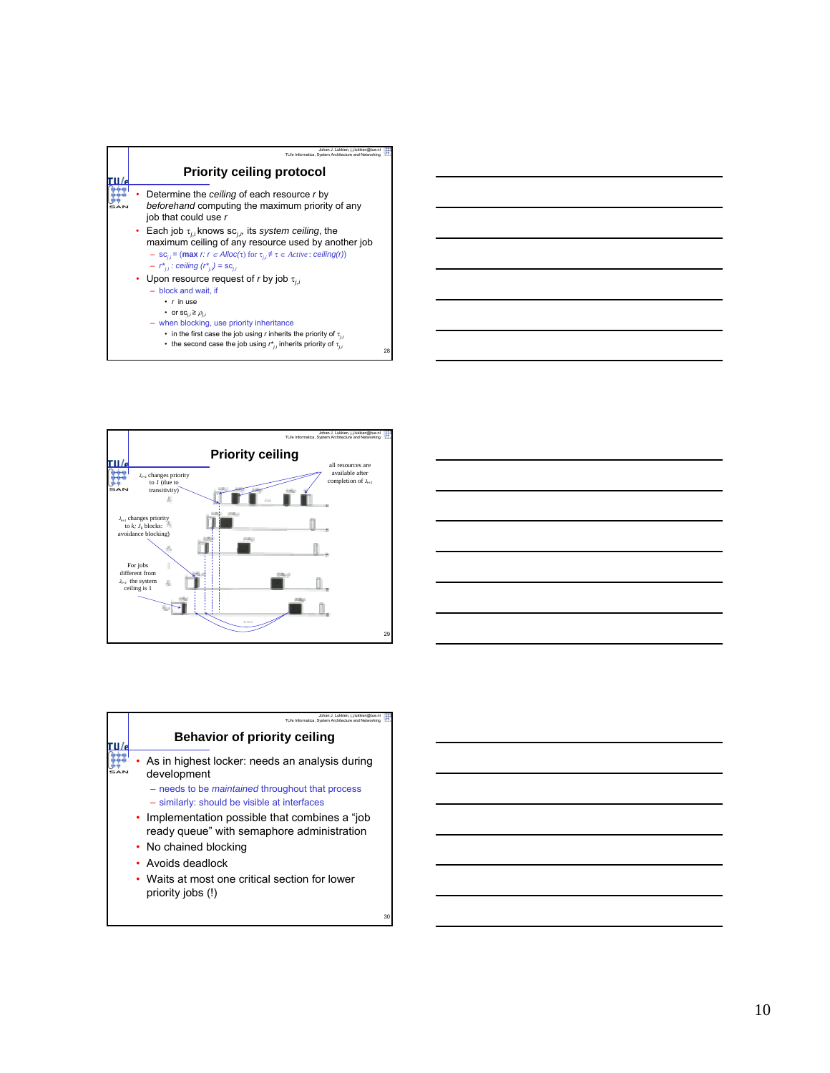



| <u>state and the state of the state of the state of the state of the state of the state of the state of the state of the state of the state of the state of the state of the state of the state of the state of the state of the</u> |  |
|--------------------------------------------------------------------------------------------------------------------------------------------------------------------------------------------------------------------------------------|--|
|                                                                                                                                                                                                                                      |  |
| <u>state and the control of the control of the control of the control of the control of the control of the control of the control of the control of the control of the control of the control of the control of the control of t</u> |  |
|                                                                                                                                                                                                                                      |  |
| <u>state and the control of the control of the control of the control of the control of the control of the control of the control of the control of the control of the control of the control of the control of the control of t</u> |  |
|                                                                                                                                                                                                                                      |  |
|                                                                                                                                                                                                                                      |  |
|                                                                                                                                                                                                                                      |  |

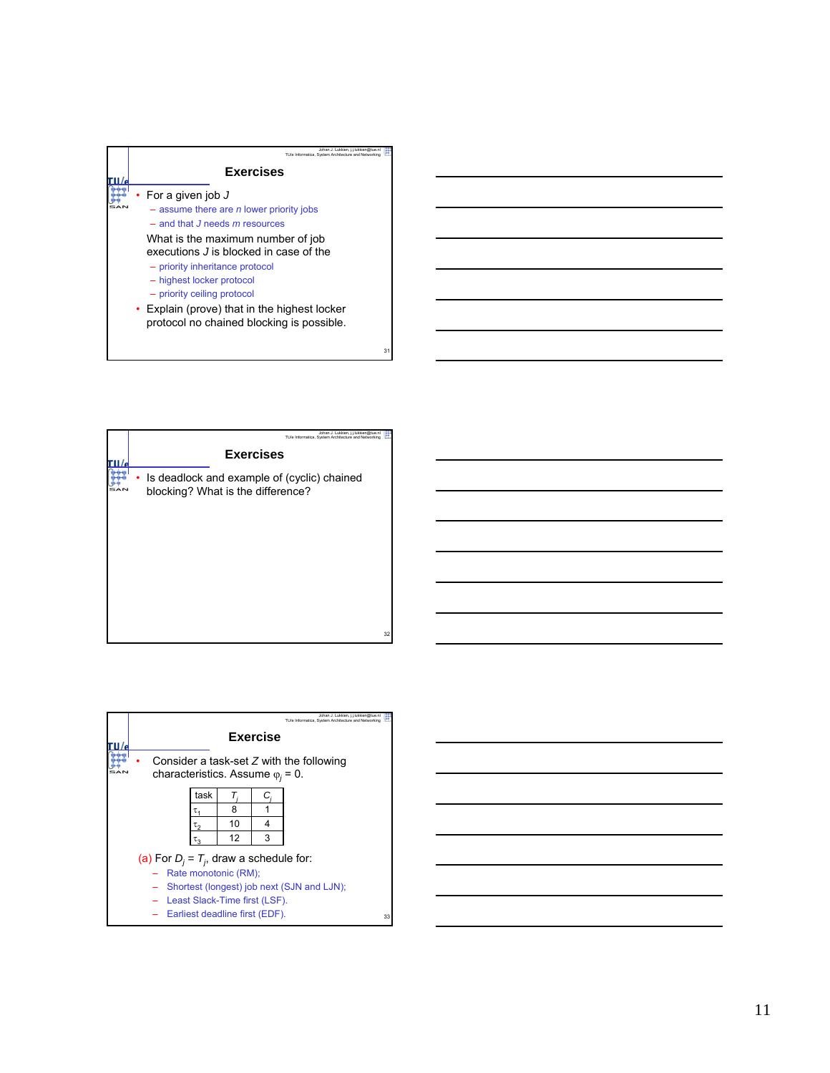

| Johan J. Lukkien, j.j.lukkien@tue.nl<br>TU/e Informatica. System Architecture and Networking |
|----------------------------------------------------------------------------------------------|
| <b>Exercises</b>                                                                             |
| Is deadlock and example of (cyclic) chained<br>blocking? What is the difference?             |
|                                                                                              |
|                                                                                              |
|                                                                                              |
|                                                                                              |
| 32                                                                                           |

|                                            |                                                                                         |      |    |                 | Johan J. Lukkien, i.i.lukkien@tue.nl<br>TU/e Informatica. System Architecture and Networking |  |  |  |  |
|--------------------------------------------|-----------------------------------------------------------------------------------------|------|----|-----------------|----------------------------------------------------------------------------------------------|--|--|--|--|
|                                            |                                                                                         |      |    | <b>Exercise</b> |                                                                                              |  |  |  |  |
|                                            | Consider a task-set $Z$ with the following<br>characteristics. Assume $\varphi_i = 0$ . |      |    |                 |                                                                                              |  |  |  |  |
|                                            |                                                                                         | task | T  | C,              |                                                                                              |  |  |  |  |
|                                            |                                                                                         | τ,   | 8  |                 |                                                                                              |  |  |  |  |
|                                            |                                                                                         | τ2   | 10 | 4               |                                                                                              |  |  |  |  |
|                                            |                                                                                         | τ3   | 12 | 3               |                                                                                              |  |  |  |  |
| (a) For $D_i = T_i$ , draw a schedule for: |                                                                                         |      |    |                 |                                                                                              |  |  |  |  |
|                                            | Rate monotonic (RM);                                                                    |      |    |                 |                                                                                              |  |  |  |  |
|                                            | Shortest (longest) job next (SJN and LJN);                                              |      |    |                 |                                                                                              |  |  |  |  |
|                                            | Least Slack-Time first (LSF).                                                           |      |    |                 |                                                                                              |  |  |  |  |
|                                            | Earliest deadline first (EDF).<br>33                                                    |      |    |                 |                                                                                              |  |  |  |  |